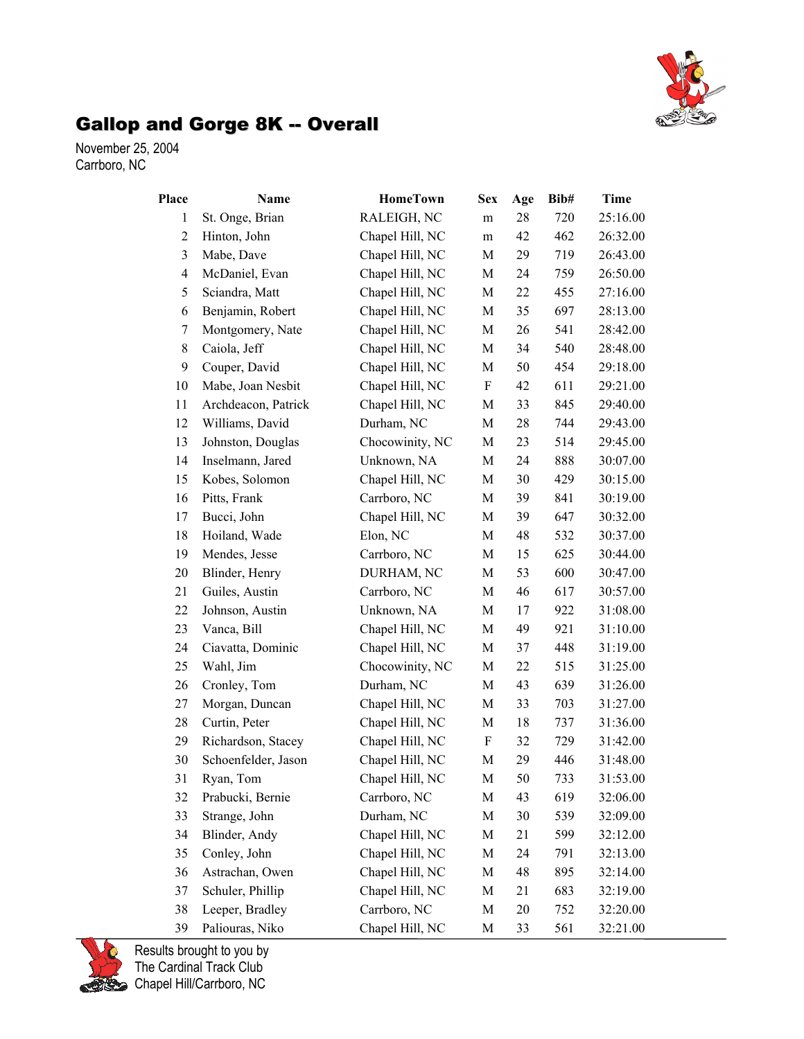

## Gallop and Gorge 8K -- Overall

November 25, 2004 Carrboro, NC

| Place          | Name                | <b>HomeTown</b> | <b>Sex</b> | Age | Bib# | Time     |
|----------------|---------------------|-----------------|------------|-----|------|----------|
| $\mathbf{1}$   | St. Onge, Brian     | RALEIGH, NC     | m          | 28  | 720  | 25:16.00 |
| $\overline{c}$ | Hinton, John        | Chapel Hill, NC | m          | 42  | 462  | 26:32.00 |
| 3              | Mabe, Dave          | Chapel Hill, NC | M          | 29  | 719  | 26:43.00 |
| $\overline{4}$ | McDaniel, Evan      | Chapel Hill, NC | M          | 24  | 759  | 26:50.00 |
| 5              | Sciandra, Matt      | Chapel Hill, NC | M          | 22  | 455  | 27:16.00 |
| 6              | Benjamin, Robert    | Chapel Hill, NC | M          | 35  | 697  | 28:13.00 |
| 7              | Montgomery, Nate    | Chapel Hill, NC | M          | 26  | 541  | 28:42.00 |
| 8              | Caiola, Jeff        | Chapel Hill, NC | M          | 34  | 540  | 28:48.00 |
| 9              | Couper, David       | Chapel Hill, NC | M          | 50  | 454  | 29:18.00 |
| 10             | Mabe, Joan Nesbit   | Chapel Hill, NC | F          | 42  | 611  | 29:21.00 |
| 11             | Archdeacon, Patrick | Chapel Hill, NC | M          | 33  | 845  | 29:40.00 |
| 12             | Williams, David     | Durham, NC      | M          | 28  | 744  | 29:43.00 |
| 13             | Johnston, Douglas   | Chocowinity, NC | M          | 23  | 514  | 29:45.00 |
| 14             | Inselmann, Jared    | Unknown, NA     | M          | 24  | 888  | 30:07.00 |
| 15             | Kobes, Solomon      | Chapel Hill, NC | M          | 30  | 429  | 30:15.00 |
| 16             | Pitts, Frank        | Carrboro, NC    | M          | 39  | 841  | 30:19.00 |
| 17             | Bucci, John         | Chapel Hill, NC | M          | 39  | 647  | 30:32.00 |
| 18             | Hoiland, Wade       | Elon, NC        | M          | 48  | 532  | 30:37.00 |
| 19             | Mendes, Jesse       | Carrboro, NC    | M          | 15  | 625  | 30:44.00 |
| 20             | Blinder, Henry      | DURHAM, NC      | M          | 53  | 600  | 30:47.00 |
| 21             | Guiles, Austin      | Carrboro, NC    | M          | 46  | 617  | 30:57.00 |
| 22             | Johnson, Austin     | Unknown, NA     | M          | 17  | 922  | 31:08.00 |
| 23             | Vanca, Bill         | Chapel Hill, NC | M          | 49  | 921  | 31:10.00 |
| 24             | Ciavatta, Dominic   | Chapel Hill, NC | M          | 37  | 448  | 31:19.00 |
| 25             | Wahl, Jim           | Chocowinity, NC | M          | 22  | 515  | 31:25.00 |
| 26             | Cronley, Tom        | Durham, NC      | M          | 43  | 639  | 31:26.00 |
| 27             | Morgan, Duncan      | Chapel Hill, NC | M          | 33  | 703  | 31:27.00 |
| 28             | Curtin, Peter       | Chapel Hill, NC | M          | 18  | 737  | 31:36.00 |
| 29             | Richardson, Stacey  | Chapel Hill, NC | F          | 32  | 729  | 31:42.00 |
| 30             | Schoenfelder, Jason | Chapel Hill, NC | M          | 29  | 446  | 31:48.00 |
| 31             | Ryan, Tom           | Chapel Hill, NC | М          | 50  | 733  | 31:53.00 |
| 32             | Prabucki, Bernie    | Carrboro, NC    | M          | 43  | 619  | 32:06.00 |
| 33             | Strange, John       | Durham, NC      | M          | 30  | 539  | 32:09.00 |
| 34             | Blinder, Andy       | Chapel Hill, NC | М          | 21  | 599  | 32:12.00 |
| 35             | Conley, John        | Chapel Hill, NC | M          | 24  | 791  | 32:13.00 |
| 36             | Astrachan, Owen     | Chapel Hill, NC | M          | 48  | 895  | 32:14.00 |
| 37             | Schuler, Phillip    | Chapel Hill, NC | M          | 21  | 683  | 32:19.00 |
| 38             | Leeper, Bradley     | Carrboro, NC    | M          | 20  | 752  | 32:20.00 |
| 39             | Paliouras, Niko     | Chapel Hill, NC | М          | 33  | 561  | 32:21.00 |

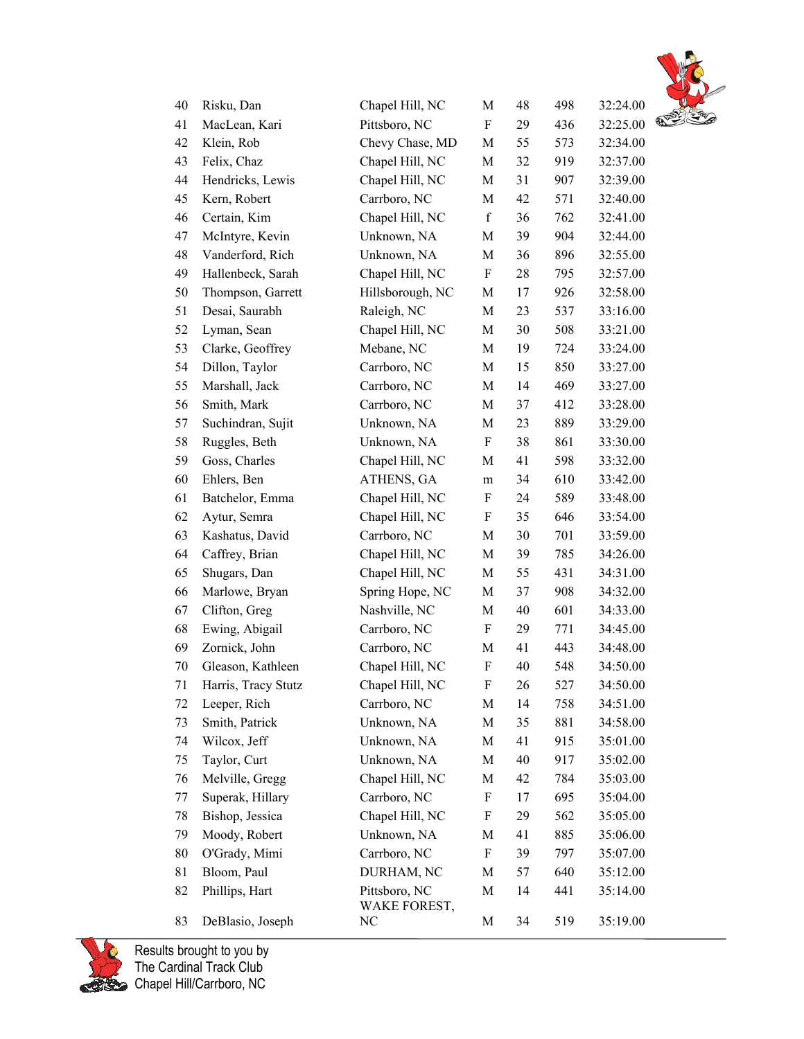

| 40 | Risku, Dan          | Chapel Hill, NC               | M                         | 48 | 498 | 32:24.00      |
|----|---------------------|-------------------------------|---------------------------|----|-----|---------------|
| 41 | MacLean, Kari       | Pittsboro, NC                 | F                         | 29 | 436 | ą<br>32:25.00 |
| 42 | Klein, Rob          | Chevy Chase, MD               | M                         | 55 | 573 | 32:34.00      |
| 43 | Felix, Chaz         | Chapel Hill, NC               | M                         | 32 | 919 | 32:37.00      |
| 44 | Hendricks, Lewis    | Chapel Hill, NC               | M                         | 31 | 907 | 32:39.00      |
| 45 | Kern, Robert        | Carrboro, NC                  | M                         | 42 | 571 | 32:40.00      |
| 46 | Certain, Kim        | Chapel Hill, NC               | $\mathbf f$               | 36 | 762 | 32:41.00      |
| 47 | McIntyre, Kevin     | Unknown, NA                   | M                         | 39 | 904 | 32:44.00      |
| 48 | Vanderford, Rich    | Unknown, NA                   | $\mathbf M$               | 36 | 896 | 32:55.00      |
| 49 | Hallenbeck, Sarah   | Chapel Hill, NC               | F                         | 28 | 795 | 32:57.00      |
| 50 | Thompson, Garrett   | Hillsborough, NC              | M                         | 17 | 926 | 32:58.00      |
| 51 | Desai, Saurabh      | Raleigh, NC                   | M                         | 23 | 537 | 33:16.00      |
| 52 | Lyman, Sean         | Chapel Hill, NC               | M                         | 30 | 508 | 33:21.00      |
| 53 | Clarke, Geoffrey    | Mebane, NC                    | M                         | 19 | 724 | 33:24.00      |
| 54 | Dillon, Taylor      | Carrboro, NC                  | M                         | 15 | 850 | 33:27.00      |
| 55 | Marshall, Jack      | Carrboro, NC                  | M                         | 14 | 469 | 33:27.00      |
| 56 | Smith, Mark         | Carrboro, NC                  | $\mathbf M$               | 37 | 412 | 33:28.00      |
| 57 | Suchindran, Sujit   | Unknown, NA                   | M                         | 23 | 889 | 33:29.00      |
| 58 | Ruggles, Beth       | Unknown, NA                   | F                         | 38 | 861 | 33:30.00      |
| 59 | Goss, Charles       | Chapel Hill, NC               | $\mathbf M$               | 41 | 598 | 33:32.00      |
| 60 | Ehlers, Ben         | ATHENS, GA                    | m                         | 34 | 610 | 33:42.00      |
| 61 | Batchelor, Emma     | Chapel Hill, NC               | F                         | 24 | 589 | 33:48.00      |
| 62 | Aytur, Semra        | Chapel Hill, NC               | F                         | 35 | 646 | 33:54.00      |
| 63 | Kashatus, David     | Carrboro, NC                  | M                         | 30 | 701 | 33:59.00      |
| 64 | Caffrey, Brian      | Chapel Hill, NC               | M                         | 39 | 785 | 34:26.00      |
| 65 | Shugars, Dan        | Chapel Hill, NC               | M                         | 55 | 431 | 34:31.00      |
| 66 | Marlowe, Bryan      | Spring Hope, NC               | M                         | 37 | 908 | 34:32.00      |
| 67 | Clifton, Greg       | Nashville, NC                 | M                         | 40 | 601 | 34:33.00      |
| 68 | Ewing, Abigail      | Carrboro, NC                  | F                         | 29 | 771 | 34:45.00      |
| 69 | Zornick, John       | Carrboro, NC                  | M                         | 41 | 443 | 34:48.00      |
| 70 | Gleason, Kathleen   | Chapel Hill, NC               | F                         | 40 | 548 | 34:50.00      |
| 71 | Harris, Tracy Stutz | Chapel Hill, NC               | F                         | 26 | 527 | 34:50.00      |
| 72 | Leeper, Rich        | Carrboro, NC                  | M                         | 14 | 758 | 34:51.00      |
| 73 | Smith, Patrick      | Unknown, NA                   | M                         | 35 | 881 | 34:58.00      |
| 74 | Wilcox, Jeff        | Unknown, NA                   | M                         | 41 | 915 | 35:01.00      |
| 75 | Taylor, Curt        | Unknown, NA                   | M                         | 40 | 917 | 35:02.00      |
| 76 | Melville, Gregg     | Chapel Hill, NC               | M                         | 42 | 784 | 35:03.00      |
| 77 | Superak, Hillary    | Carrboro, NC                  | $\boldsymbol{\mathrm{F}}$ | 17 | 695 | 35:04.00      |
| 78 | Bishop, Jessica     | Chapel Hill, NC               | F                         | 29 | 562 | 35:05.00      |
| 79 | Moody, Robert       | Unknown, NA                   | M                         | 41 | 885 | 35:06.00      |
| 80 | O'Grady, Mimi       | Carrboro, NC                  | F                         | 39 | 797 | 35:07.00      |
| 81 | Bloom, Paul         | DURHAM, NC                    | M                         | 57 | 640 | 35:12.00      |
| 82 | Phillips, Hart      | Pittsboro, NC<br>WAKE FOREST, | M                         | 14 | 441 | 35:14.00      |
| 83 | DeBlasio, Joseph    | NC                            | M                         | 34 | 519 | 35:19.00      |

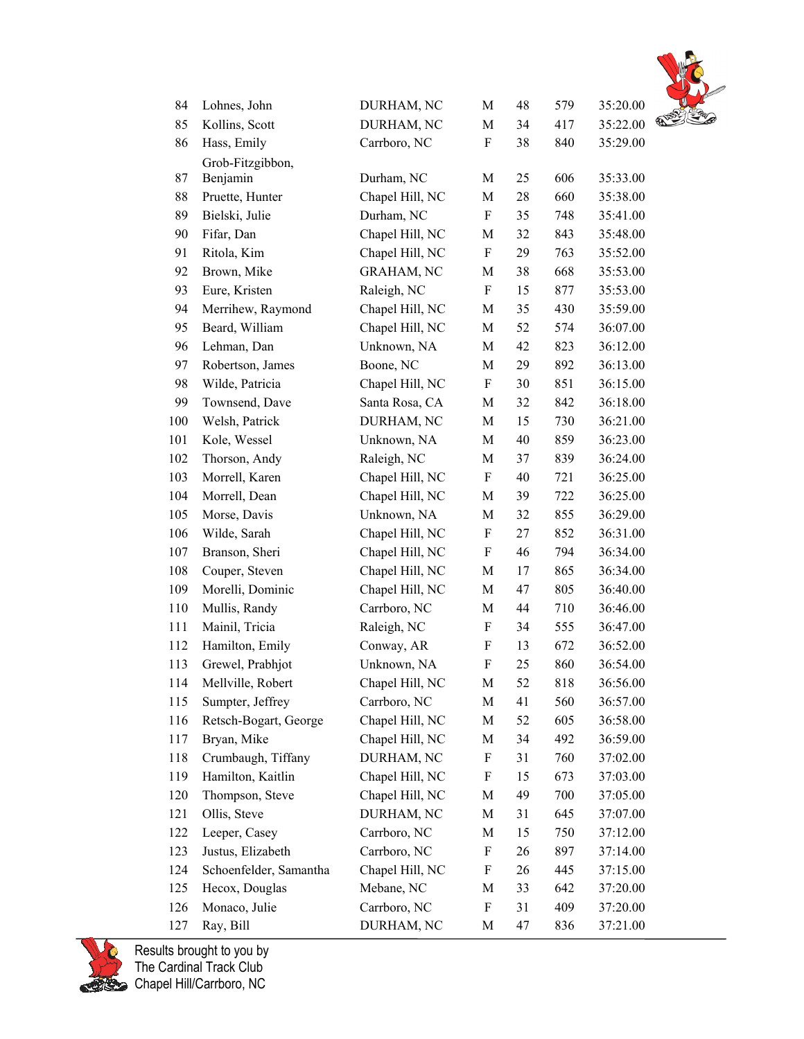

| 84  | Lohnes, John           | DURHAM, NC        | M                         | 48 | 579 | 35:20.00 |               |
|-----|------------------------|-------------------|---------------------------|----|-----|----------|---------------|
| 85  | Kollins, Scott         | DURHAM, NC        | M                         | 34 | 417 | 35:22.00 | $\mathscr{D}$ |
| 86  | Hass, Emily            | Carrboro, NC      | F                         | 38 | 840 | 35:29.00 |               |
|     | Grob-Fitzgibbon,       |                   |                           |    |     |          |               |
| 87  | Benjamin               | Durham, NC        | М                         | 25 | 606 | 35:33.00 |               |
| 88  | Pruette, Hunter        | Chapel Hill, NC   | M                         | 28 | 660 | 35:38.00 |               |
| 89  | Bielski, Julie         | Durham, NC        | $\boldsymbol{\mathrm{F}}$ | 35 | 748 | 35:41.00 |               |
| 90  | Fifar, Dan             | Chapel Hill, NC   | M                         | 32 | 843 | 35:48.00 |               |
| 91  | Ritola, Kim            | Chapel Hill, NC   | $\boldsymbol{\mathrm{F}}$ | 29 | 763 | 35:52.00 |               |
| 92  | Brown, Mike            | <b>GRAHAM, NC</b> | M                         | 38 | 668 | 35:53.00 |               |
| 93  | Eure, Kristen          | Raleigh, NC       | ${\bf F}$                 | 15 | 877 | 35:53.00 |               |
| 94  | Merrihew, Raymond      | Chapel Hill, NC   | M                         | 35 | 430 | 35:59.00 |               |
| 95  | Beard, William         | Chapel Hill, NC   | М                         | 52 | 574 | 36:07.00 |               |
| 96  | Lehman, Dan            | Unknown, NA       | M                         | 42 | 823 | 36:12.00 |               |
| 97  | Robertson, James       | Boone, NC         | M                         | 29 | 892 | 36:13.00 |               |
| 98  | Wilde, Patricia        | Chapel Hill, NC   | $\boldsymbol{\mathrm{F}}$ | 30 | 851 | 36:15.00 |               |
| 99  | Townsend, Dave         | Santa Rosa, CA    | M                         | 32 | 842 | 36:18.00 |               |
| 100 | Welsh, Patrick         | DURHAM, NC        | M                         | 15 | 730 | 36:21.00 |               |
| 101 | Kole, Wessel           | Unknown, NA       | M                         | 40 | 859 | 36:23.00 |               |
| 102 | Thorson, Andy          | Raleigh, NC       | M                         | 37 | 839 | 36:24.00 |               |
| 103 | Morrell, Karen         | Chapel Hill, NC   | $\boldsymbol{\mathrm{F}}$ | 40 | 721 | 36:25.00 |               |
| 104 | Morrell, Dean          | Chapel Hill, NC   | M                         | 39 | 722 | 36:25.00 |               |
| 105 | Morse, Davis           | Unknown, NA       | M                         | 32 | 855 | 36:29.00 |               |
| 106 | Wilde, Sarah           | Chapel Hill, NC   | $\boldsymbol{\mathrm{F}}$ | 27 | 852 | 36:31.00 |               |
| 107 | Branson, Sheri         | Chapel Hill, NC   | $\boldsymbol{\mathrm{F}}$ | 46 | 794 | 36:34.00 |               |
| 108 | Couper, Steven         | Chapel Hill, NC   | M                         | 17 | 865 | 36:34.00 |               |
| 109 | Morelli, Dominic       | Chapel Hill, NC   | M                         | 47 | 805 | 36:40.00 |               |
| 110 | Mullis, Randy          | Carrboro, NC      | M                         | 44 | 710 | 36:46.00 |               |
| 111 | Mainil, Tricia         | Raleigh, NC       | $\boldsymbol{\mathrm{F}}$ | 34 | 555 | 36:47.00 |               |
| 112 | Hamilton, Emily        | Conway, AR        | F                         | 13 | 672 | 36:52.00 |               |
| 113 | Grewel, Prabhjot       | Unknown, NA       | F                         | 25 | 860 | 36:54.00 |               |
| 114 | Mellville, Robert      | Chapel Hill, NC   | M                         | 52 | 818 | 36:56.00 |               |
| 115 | Sumpter, Jeffrey       | Carrboro, NC      | M                         | 41 | 560 | 36:57.00 |               |
| 116 | Retsch-Bogart, George  | Chapel Hill, NC   | M                         | 52 | 605 | 36:58.00 |               |
| 117 | Bryan, Mike            | Chapel Hill, NC   | M                         | 34 | 492 | 36:59.00 |               |
| 118 | Crumbaugh, Tiffany     | DURHAM, NC        | F                         | 31 | 760 | 37:02.00 |               |
| 119 | Hamilton, Kaitlin      | Chapel Hill, NC   | F                         | 15 | 673 | 37:03.00 |               |
| 120 | Thompson, Steve        | Chapel Hill, NC   | M                         | 49 | 700 | 37:05.00 |               |
| 121 | Ollis, Steve           | DURHAM, NC        | M                         | 31 | 645 | 37:07.00 |               |
| 122 | Leeper, Casey          | Carrboro, NC      | M                         | 15 | 750 | 37:12.00 |               |
| 123 | Justus, Elizabeth      | Carrboro, NC      | F                         | 26 | 897 | 37:14.00 |               |
| 124 | Schoenfelder, Samantha | Chapel Hill, NC   | F                         | 26 | 445 | 37:15.00 |               |
| 125 | Hecox, Douglas         | Mebane, NC        | M                         | 33 | 642 | 37:20.00 |               |
| 126 | Monaco, Julie          | Carrboro, NC      | F                         | 31 | 409 | 37:20.00 |               |
| 127 | Ray, Bill              | DURHAM, NC        | M                         | 47 | 836 | 37:21.00 |               |

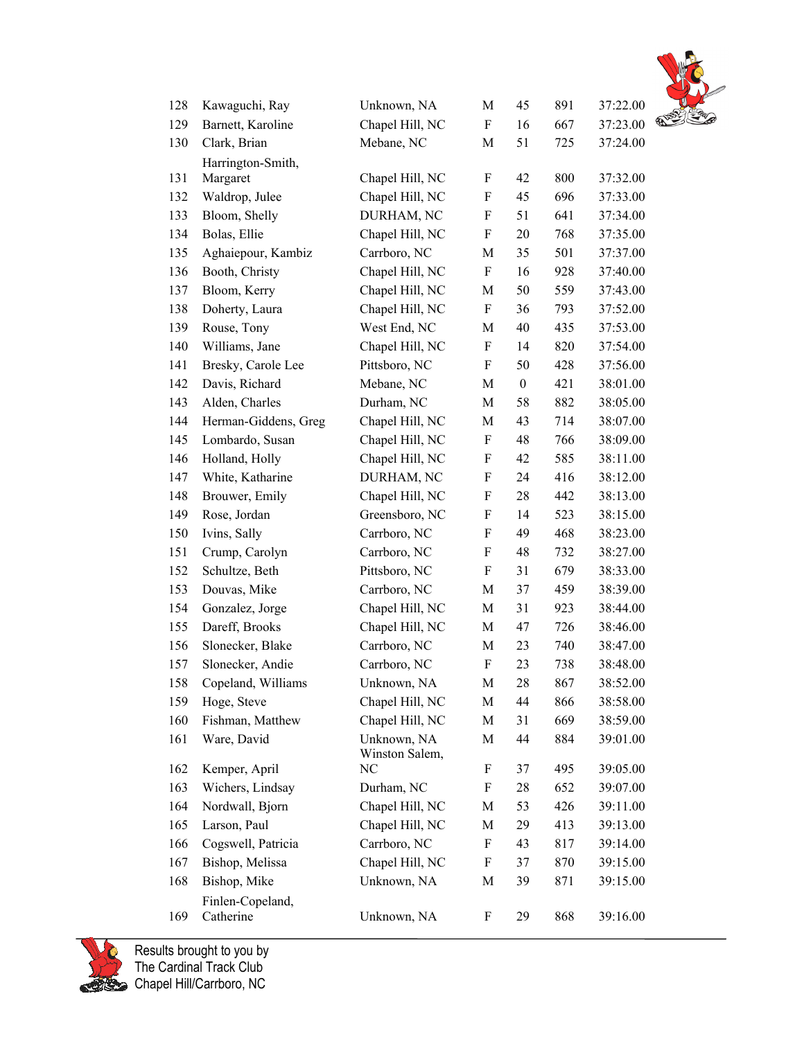

| 128 | Kawaguchi, Ray                | Unknown, NA                   | M                         | 45               | 891 | 37:22.00 |        |
|-----|-------------------------------|-------------------------------|---------------------------|------------------|-----|----------|--------|
| 129 | Barnett, Karoline             | Chapel Hill, NC               | F                         | 16               | 667 | 37:23.00 | $\Phi$ |
| 130 | Clark, Brian                  | Mebane, NC                    | M                         | 51               | 725 | 37:24.00 |        |
|     | Harrington-Smith,             |                               |                           |                  |     |          |        |
| 131 | Margaret                      | Chapel Hill, NC               | F                         | 42               | 800 | 37:32.00 |        |
| 132 | Waldrop, Julee                | Chapel Hill, NC               | F                         | 45               | 696 | 37:33.00 |        |
| 133 | Bloom, Shelly                 | DURHAM, NC                    | $\boldsymbol{\mathrm{F}}$ | 51               | 641 | 37:34.00 |        |
| 134 | Bolas, Ellie                  | Chapel Hill, NC               | F                         | 20               | 768 | 37:35.00 |        |
| 135 | Aghaiepour, Kambiz            | Carrboro, NC                  | M                         | 35               | 501 | 37:37.00 |        |
| 136 | Booth, Christy                | Chapel Hill, NC               | F                         | 16               | 928 | 37:40.00 |        |
| 137 | Bloom, Kerry                  | Chapel Hill, NC               | M                         | 50               | 559 | 37:43.00 |        |
| 138 | Doherty, Laura                | Chapel Hill, NC               | F                         | 36               | 793 | 37:52.00 |        |
| 139 | Rouse, Tony                   | West End, NC                  | M                         | 40               | 435 | 37:53.00 |        |
| 140 | Williams, Jane                | Chapel Hill, NC               | F                         | 14               | 820 | 37:54.00 |        |
| 141 | Bresky, Carole Lee            | Pittsboro, NC                 | F                         | 50               | 428 | 37:56.00 |        |
| 142 | Davis, Richard                | Mebane, NC                    | M                         | $\boldsymbol{0}$ | 421 | 38:01.00 |        |
| 143 | Alden, Charles                | Durham, NC                    | M                         | 58               | 882 | 38:05.00 |        |
| 144 | Herman-Giddens, Greg          | Chapel Hill, NC               | M                         | 43               | 714 | 38:07.00 |        |
| 145 | Lombardo, Susan               | Chapel Hill, NC               | F                         | 48               | 766 | 38:09.00 |        |
| 146 | Holland, Holly                | Chapel Hill, NC               | F                         | 42               | 585 | 38:11.00 |        |
| 147 | White, Katharine              | DURHAM, NC                    | F                         | 24               | 416 | 38:12.00 |        |
| 148 | Brouwer, Emily                | Chapel Hill, NC               | $\boldsymbol{\mathrm{F}}$ | 28               | 442 | 38:13.00 |        |
| 149 | Rose, Jordan                  | Greensboro, NC                | $\boldsymbol{\mathrm{F}}$ | 14               | 523 | 38:15.00 |        |
| 150 | Ivins, Sally                  | Carrboro, NC                  | F                         | 49               | 468 | 38:23.00 |        |
| 151 | Crump, Carolyn                | Carrboro, NC                  | F                         | 48               | 732 | 38:27.00 |        |
| 152 | Schultze, Beth                | Pittsboro, NC                 | F                         | 31               | 679 | 38:33.00 |        |
| 153 | Douvas, Mike                  | Carrboro, NC                  | M                         | 37               | 459 | 38:39.00 |        |
| 154 | Gonzalez, Jorge               | Chapel Hill, NC               | M                         | 31               | 923 | 38:44.00 |        |
| 155 | Dareff, Brooks                | Chapel Hill, NC               | M                         | 47               | 726 | 38:46.00 |        |
| 156 | Slonecker, Blake              | Carrboro, NC                  | M                         | 23               | 740 | 38:47.00 |        |
| 157 | Slonecker, Andie              | Carrboro, NC                  | F                         | 23               | 738 | 38:48.00 |        |
| 158 | Copeland, Williams            | Unknown, NA                   | M                         | 28               | 867 | 38:52.00 |        |
| 159 | Hoge, Steve                   | Chapel Hill, NC               | М                         | 44               | 866 | 38:58.00 |        |
| 160 | Fishman, Matthew              | Chapel Hill, NC               | M                         | 31               | 669 | 38:59.00 |        |
| 161 | Ware, David                   | Unknown, NA<br>Winston Salem, | M                         | 44               | 884 | 39:01.00 |        |
| 162 | Kemper, April                 | NC                            | F                         | 37               | 495 | 39:05.00 |        |
| 163 | Wichers, Lindsay              | Durham, NC                    | F                         | 28               | 652 | 39:07.00 |        |
| 164 | Nordwall, Bjorn               | Chapel Hill, NC               | $\mathbf M$               | 53               | 426 | 39:11.00 |        |
| 165 | Larson, Paul                  | Chapel Hill, NC               | M                         | 29               | 413 | 39:13.00 |        |
| 166 | Cogswell, Patricia            | Carrboro, NC                  | F                         | 43               | 817 | 39:14.00 |        |
| 167 | Bishop, Melissa               | Chapel Hill, NC               | F                         | 37               | 870 | 39:15.00 |        |
| 168 | Bishop, Mike                  | Unknown, NA                   | M                         | 39               | 871 | 39:15.00 |        |
| 169 | Finlen-Copeland,<br>Catherine | Unknown, NA                   | F                         | 29               | 868 | 39:16.00 |        |
|     |                               |                               |                           |                  |     |          |        |

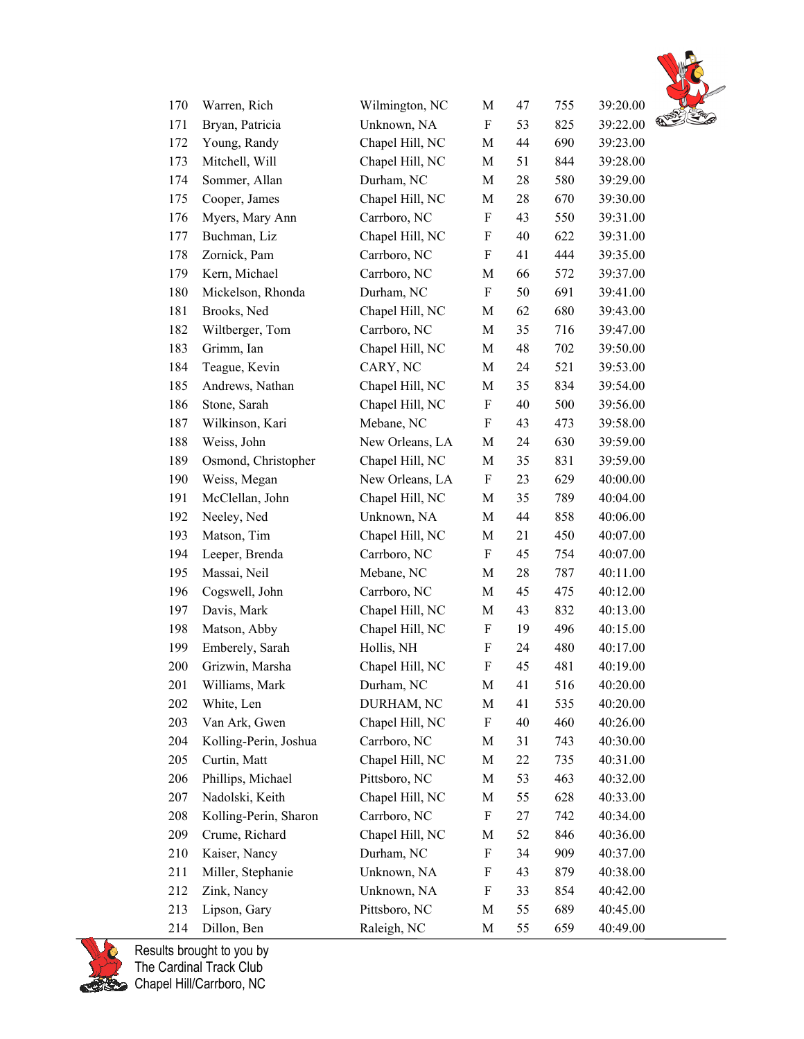

| 170 | Warren, Rich          | Wilmington, NC  | M                         | 47 | 755 | 39:20.00 |               |
|-----|-----------------------|-----------------|---------------------------|----|-----|----------|---------------|
| 171 | Bryan, Patricia       | Unknown, NA     | F                         | 53 | 825 | 39:22.00 | $\mathscr{C}$ |
| 172 | Young, Randy          | Chapel Hill, NC | M                         | 44 | 690 | 39:23.00 |               |
| 173 | Mitchell, Will        | Chapel Hill, NC | M                         | 51 | 844 | 39:28.00 |               |
| 174 | Sommer, Allan         | Durham, NC      | $\mathbf M$               | 28 | 580 | 39:29.00 |               |
| 175 | Cooper, James         | Chapel Hill, NC | M                         | 28 | 670 | 39:30.00 |               |
| 176 | Myers, Mary Ann       | Carrboro, NC    | $\boldsymbol{\mathrm{F}}$ | 43 | 550 | 39:31.00 |               |
| 177 | Buchman, Liz          | Chapel Hill, NC | F                         | 40 | 622 | 39:31.00 |               |
| 178 | Zornick, Pam          | Carrboro, NC    | $\boldsymbol{\mathrm{F}}$ | 41 | 444 | 39:35.00 |               |
| 179 | Kern, Michael         | Carrboro, NC    | M                         | 66 | 572 | 39:37.00 |               |
| 180 | Mickelson, Rhonda     | Durham, NC      | F                         | 50 | 691 | 39:41.00 |               |
| 181 | Brooks, Ned           | Chapel Hill, NC | M                         | 62 | 680 | 39:43.00 |               |
| 182 | Wiltberger, Tom       | Carrboro, NC    | M                         | 35 | 716 | 39:47.00 |               |
| 183 | Grimm, Ian            | Chapel Hill, NC | M                         | 48 | 702 | 39:50.00 |               |
| 184 | Teague, Kevin         | CARY, NC        | M                         | 24 | 521 | 39:53.00 |               |
| 185 | Andrews, Nathan       | Chapel Hill, NC | M                         | 35 | 834 | 39:54.00 |               |
| 186 | Stone, Sarah          | Chapel Hill, NC | $\boldsymbol{\mathrm{F}}$ | 40 | 500 | 39:56.00 |               |
| 187 | Wilkinson, Kari       | Mebane, NC      | F                         | 43 | 473 | 39:58.00 |               |
| 188 | Weiss, John           | New Orleans, LA | M                         | 24 | 630 | 39:59.00 |               |
| 189 | Osmond, Christopher   | Chapel Hill, NC | M                         | 35 | 831 | 39:59.00 |               |
| 190 | Weiss, Megan          | New Orleans, LA | F                         | 23 | 629 | 40:00.00 |               |
| 191 | McClellan, John       | Chapel Hill, NC | M                         | 35 | 789 | 40:04.00 |               |
| 192 | Neeley, Ned           | Unknown, NA     | M                         | 44 | 858 | 40:06.00 |               |
| 193 | Matson, Tim           | Chapel Hill, NC | M                         | 21 | 450 | 40:07.00 |               |
| 194 | Leeper, Brenda        | Carrboro, NC    | F                         | 45 | 754 | 40:07.00 |               |
| 195 | Massai, Neil          | Mebane, NC      | M                         | 28 | 787 | 40:11.00 |               |
| 196 | Cogswell, John        | Carrboro, NC    | M                         | 45 | 475 | 40:12.00 |               |
| 197 | Davis, Mark           | Chapel Hill, NC | M                         | 43 | 832 | 40:13.00 |               |
| 198 | Matson, Abby          | Chapel Hill, NC | F                         | 19 | 496 | 40:15.00 |               |
| 199 | Emberely, Sarah       | Hollis, NH      | F                         | 24 | 480 | 40:17.00 |               |
| 200 | Grizwin, Marsha       | Chapel Hill, NC | $\boldsymbol{\mathrm{F}}$ | 45 | 481 | 40:19.00 |               |
| 201 | Williams, Mark        | Durham, NC      | М                         | 41 | 516 | 40:20.00 |               |
| 202 | White, Len            | DURHAM, NC      | M                         | 41 | 535 | 40:20.00 |               |
| 203 | Van Ark, Gwen         | Chapel Hill, NC | F                         | 40 | 460 | 40:26.00 |               |
| 204 | Kolling-Perin, Joshua | Carrboro, NC    | M                         | 31 | 743 | 40:30.00 |               |
| 205 | Curtin, Matt          | Chapel Hill, NC | M                         | 22 | 735 | 40:31.00 |               |
| 206 | Phillips, Michael     | Pittsboro, NC   | M                         | 53 | 463 | 40:32.00 |               |
| 207 | Nadolski, Keith       | Chapel Hill, NC | M                         | 55 | 628 | 40:33.00 |               |
| 208 | Kolling-Perin, Sharon | Carrboro, NC    | F                         | 27 | 742 | 40:34.00 |               |
| 209 | Crume, Richard        | Chapel Hill, NC | M                         | 52 | 846 | 40:36.00 |               |
| 210 | Kaiser, Nancy         | Durham, NC      | F                         | 34 | 909 | 40:37.00 |               |
| 211 | Miller, Stephanie     | Unknown, NA     | F                         | 43 | 879 | 40:38.00 |               |
| 212 | Zink, Nancy           | Unknown, NA     | F                         | 33 | 854 | 40:42.00 |               |
| 213 | Lipson, Gary          | Pittsboro, NC   | M                         | 55 | 689 | 40:45.00 |               |
| 214 | Dillon, Ben           | Raleigh, NC     | M                         | 55 | 659 | 40:49.00 |               |

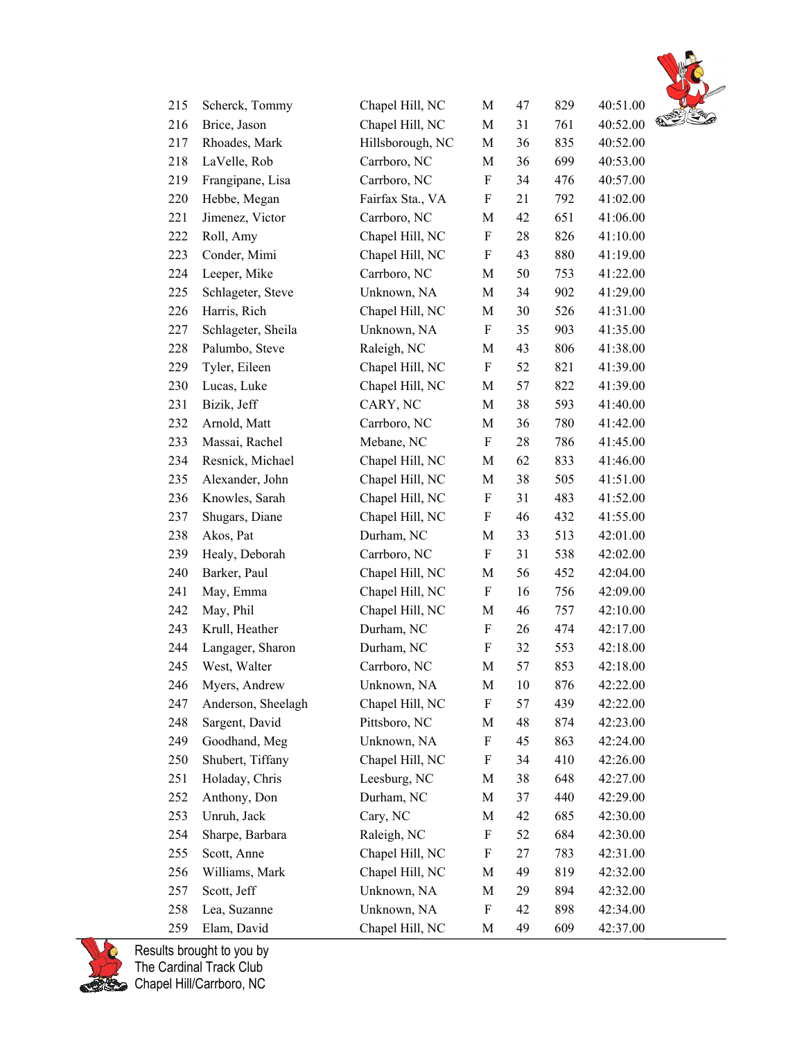

| 215 | Scherck, Tommy     | Chapel Hill, NC  | $\mathbf M$ | 47 | 829 | 40:51.00 |   |
|-----|--------------------|------------------|-------------|----|-----|----------|---|
| 216 | Brice, Jason       | Chapel Hill, NC  | M           | 31 | 761 | 40:52.00 | ଈ |
| 217 | Rhoades, Mark      | Hillsborough, NC | M           | 36 | 835 | 40:52.00 |   |
| 218 | LaVelle, Rob       | Carrboro, NC     | M           | 36 | 699 | 40:53.00 |   |
| 219 | Frangipane, Lisa   | Carrboro, NC     | F           | 34 | 476 | 40:57.00 |   |
| 220 | Hebbe, Megan       | Fairfax Sta., VA | F           | 21 | 792 | 41:02.00 |   |
| 221 | Jimenez, Victor    | Carrboro, NC     | M           | 42 | 651 | 41:06.00 |   |
| 222 | Roll, Amy          | Chapel Hill, NC  | F           | 28 | 826 | 41:10.00 |   |
| 223 | Conder, Mimi       | Chapel Hill, NC  | F           | 43 | 880 | 41:19.00 |   |
| 224 | Leeper, Mike       | Carrboro, NC     | M           | 50 | 753 | 41:22.00 |   |
| 225 | Schlageter, Steve  | Unknown, NA      | M           | 34 | 902 | 41:29.00 |   |
| 226 | Harris, Rich       | Chapel Hill, NC  | M           | 30 | 526 | 41:31.00 |   |
| 227 | Schlageter, Sheila | Unknown, NA      | F           | 35 | 903 | 41:35.00 |   |
| 228 | Palumbo, Steve     | Raleigh, NC      | M           | 43 | 806 | 41:38.00 |   |
| 229 | Tyler, Eileen      | Chapel Hill, NC  | F           | 52 | 821 | 41:39.00 |   |
| 230 | Lucas, Luke        | Chapel Hill, NC  | M           | 57 | 822 | 41:39.00 |   |
| 231 | Bizik, Jeff        | CARY, NC         | M           | 38 | 593 | 41:40.00 |   |
| 232 | Arnold, Matt       | Carrboro, NC     | M           | 36 | 780 | 41:42.00 |   |
| 233 | Massai, Rachel     | Mebane, NC       | F           | 28 | 786 | 41:45.00 |   |
| 234 | Resnick, Michael   | Chapel Hill, NC  | M           | 62 | 833 | 41:46.00 |   |
| 235 | Alexander, John    | Chapel Hill, NC  | M           | 38 | 505 | 41:51.00 |   |
| 236 | Knowles, Sarah     | Chapel Hill, NC  | F           | 31 | 483 | 41:52.00 |   |
| 237 | Shugars, Diane     | Chapel Hill, NC  | F           | 46 | 432 | 41:55.00 |   |
| 238 | Akos, Pat          | Durham, NC       | M           | 33 | 513 | 42:01.00 |   |
| 239 | Healy, Deborah     | Carrboro, NC     | F           | 31 | 538 | 42:02.00 |   |
| 240 | Barker, Paul       | Chapel Hill, NC  | M           | 56 | 452 | 42:04.00 |   |
| 241 | May, Emma          | Chapel Hill, NC  | F           | 16 | 756 | 42:09.00 |   |
| 242 | May, Phil          | Chapel Hill, NC  | M           | 46 | 757 | 42:10.00 |   |
| 243 | Krull, Heather     | Durham, NC       | F           | 26 | 474 | 42:17.00 |   |
| 244 | Langager, Sharon   | Durham, NC       | F           | 32 | 553 | 42:18.00 |   |
| 245 | West, Walter       | Carrboro, NC     | M           | 57 | 853 | 42:18.00 |   |
| 246 | Mvers. Andrew      | Unknown, NA      | М           | 10 | 876 | 42:22.00 |   |
| 247 | Anderson, Sheelagh | Chapel Hill, NC  | F           | 57 | 439 | 42:22.00 |   |
| 248 | Sargent, David     | Pittsboro, NC    | M           | 48 | 874 | 42:23.00 |   |
| 249 | Goodhand, Meg      | Unknown, NA      | F           | 45 | 863 | 42:24.00 |   |
| 250 | Shubert, Tiffany   | Chapel Hill, NC  | F           | 34 | 410 | 42:26.00 |   |
| 251 | Holaday, Chris     | Leesburg, NC     | M           | 38 | 648 | 42:27.00 |   |
| 252 | Anthony, Don       | Durham, NC       | M           | 37 | 440 | 42:29.00 |   |
| 253 | Unruh, Jack        | Cary, NC         | M           | 42 | 685 | 42:30.00 |   |
| 254 | Sharpe, Barbara    | Raleigh, NC      | F           | 52 | 684 | 42:30.00 |   |
| 255 | Scott, Anne        | Chapel Hill, NC  | F           | 27 | 783 | 42:31.00 |   |
| 256 | Williams, Mark     | Chapel Hill, NC  | M           | 49 | 819 | 42:32.00 |   |
| 257 | Scott, Jeff        | Unknown, NA      | M           | 29 | 894 | 42:32.00 |   |
| 258 | Lea, Suzanne       | Unknown, NA      | F           | 42 | 898 | 42:34.00 |   |
| 259 | Elam, David        | Chapel Hill, NC  | M           | 49 | 609 | 42:37.00 |   |

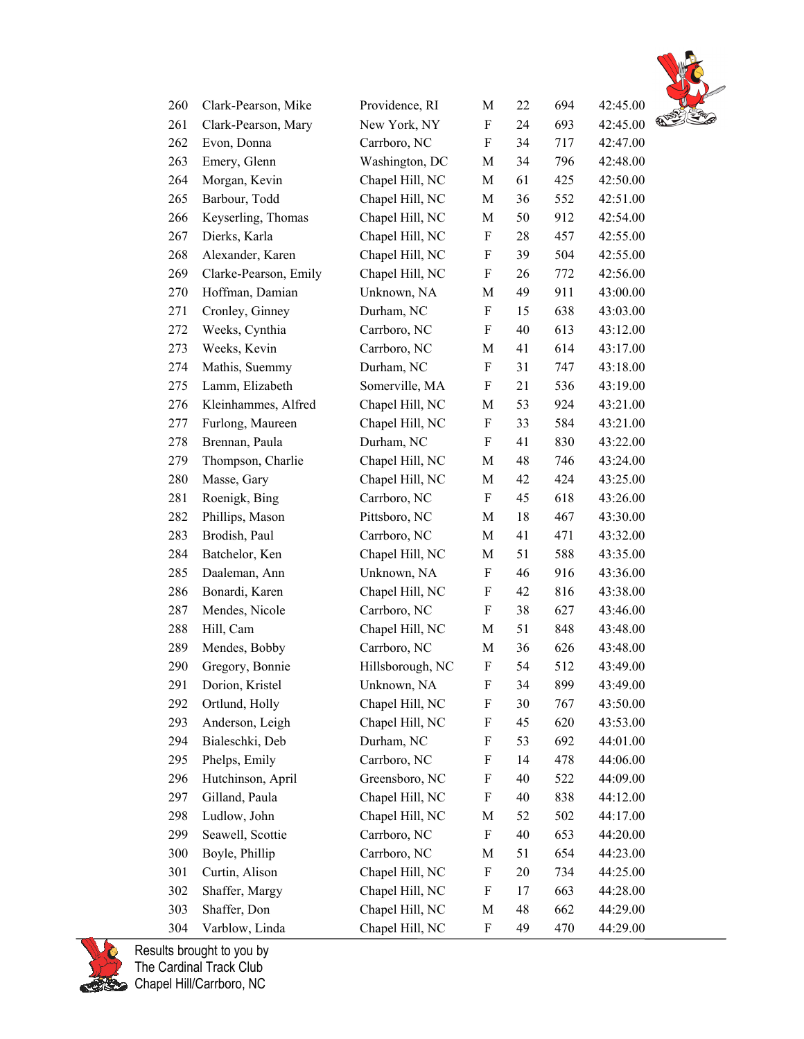

| 260 | Clark-Pearson, Mike   | Providence, RI   | M                         | 22 | 694 | 42:45.00 |               |
|-----|-----------------------|------------------|---------------------------|----|-----|----------|---------------|
| 261 | Clark-Pearson, Mary   | New York, NY     | F                         | 24 | 693 | 42:45.00 | $\mathcal{D}$ |
| 262 | Evon, Donna           | Carrboro, NC     | F                         | 34 | 717 | 42:47.00 |               |
| 263 | Emery, Glenn          | Washington, DC   | M                         | 34 | 796 | 42:48.00 |               |
| 264 | Morgan, Kevin         | Chapel Hill, NC  | M                         | 61 | 425 | 42:50.00 |               |
| 265 | Barbour, Todd         | Chapel Hill, NC  | M                         | 36 | 552 | 42:51.00 |               |
| 266 | Keyserling, Thomas    | Chapel Hill, NC  | M                         | 50 | 912 | 42:54.00 |               |
| 267 | Dierks, Karla         | Chapel Hill, NC  | F                         | 28 | 457 | 42:55.00 |               |
| 268 | Alexander, Karen      | Chapel Hill, NC  | F                         | 39 | 504 | 42:55.00 |               |
| 269 | Clarke-Pearson, Emily | Chapel Hill, NC  | F                         | 26 | 772 | 42:56.00 |               |
| 270 | Hoffman, Damian       | Unknown, NA      | M                         | 49 | 911 | 43:00.00 |               |
| 271 | Cronley, Ginney       | Durham, NC       | F                         | 15 | 638 | 43:03.00 |               |
| 272 | Weeks, Cynthia        | Carrboro, NC     | F                         | 40 | 613 | 43:12.00 |               |
| 273 | Weeks, Kevin          | Carrboro, NC     | M                         | 41 | 614 | 43:17.00 |               |
| 274 | Mathis, Suemmy        | Durham, NC       | $\boldsymbol{\mathrm{F}}$ | 31 | 747 | 43:18.00 |               |
| 275 | Lamm, Elizabeth       | Somerville, MA   | F                         | 21 | 536 | 43:19.00 |               |
| 276 | Kleinhammes, Alfred   | Chapel Hill, NC  | M                         | 53 | 924 | 43:21.00 |               |
| 277 | Furlong, Maureen      | Chapel Hill, NC  | F                         | 33 | 584 | 43:21.00 |               |
| 278 | Brennan, Paula        | Durham, NC       | F                         | 41 | 830 | 43:22.00 |               |
| 279 | Thompson, Charlie     | Chapel Hill, NC  | M                         | 48 | 746 | 43:24.00 |               |
| 280 | Masse, Gary           | Chapel Hill, NC  | M                         | 42 | 424 | 43:25.00 |               |
| 281 | Roenigk, Bing         | Carrboro, NC     | $\boldsymbol{\mathrm{F}}$ | 45 | 618 | 43:26.00 |               |
| 282 | Phillips, Mason       | Pittsboro, NC    | M                         | 18 | 467 | 43:30.00 |               |
| 283 | Brodish, Paul         | Carrboro, NC     | M                         | 41 | 471 | 43:32.00 |               |
| 284 | Batchelor, Ken        | Chapel Hill, NC  | M                         | 51 | 588 | 43:35.00 |               |
| 285 | Daaleman, Ann         | Unknown, NA      | F                         | 46 | 916 | 43:36.00 |               |
| 286 | Bonardi, Karen        | Chapel Hill, NC  | F                         | 42 | 816 | 43:38.00 |               |
| 287 | Mendes, Nicole        | Carrboro, NC     | $\boldsymbol{\mathrm{F}}$ | 38 | 627 | 43:46.00 |               |
| 288 | Hill, Cam             | Chapel Hill, NC  | M                         | 51 | 848 | 43:48.00 |               |
| 289 | Mendes, Bobby         | Carrboro, NC     | M                         | 36 | 626 | 43:48.00 |               |
| 290 | Gregory, Bonnie       | Hillsborough, NC | $\boldsymbol{\mathrm{F}}$ | 54 | 512 | 43:49.00 |               |
| 291 | Dorion, Kristel       | Unknown, NA      | F                         | 34 | 899 | 43:49.00 |               |
| 292 | Ortlund, Holly        | Chapel Hill, NC  | F                         | 30 | 767 | 43:50.00 |               |
| 293 | Anderson, Leigh       | Chapel Hill, NC  | F                         | 45 | 620 | 43:53.00 |               |
| 294 | Bialeschki, Deb       | Durham, NC       | F                         | 53 | 692 | 44:01.00 |               |
| 295 | Phelps, Emily         | Carrboro, NC     | F                         | 14 | 478 | 44:06.00 |               |
| 296 | Hutchinson, April     | Greensboro, NC   | F                         | 40 | 522 | 44:09.00 |               |
| 297 | Gilland, Paula        | Chapel Hill, NC  | F                         | 40 | 838 | 44:12.00 |               |
| 298 | Ludlow, John          | Chapel Hill, NC  | M                         | 52 | 502 | 44:17.00 |               |
| 299 | Seawell, Scottie      | Carrboro, NC     | F                         | 40 | 653 | 44:20.00 |               |
| 300 | Boyle, Phillip        | Carrboro, NC     | M                         | 51 | 654 | 44:23.00 |               |
| 301 | Curtin, Alison        | Chapel Hill, NC  | F                         | 20 | 734 | 44:25.00 |               |
| 302 | Shaffer, Margy        | Chapel Hill, NC  | F                         | 17 | 663 | 44:28.00 |               |
| 303 | Shaffer, Don          | Chapel Hill, NC  | M                         | 48 | 662 | 44:29.00 |               |
| 304 | Varblow, Linda        | Chapel Hill, NC  | F                         | 49 | 470 | 44:29.00 |               |

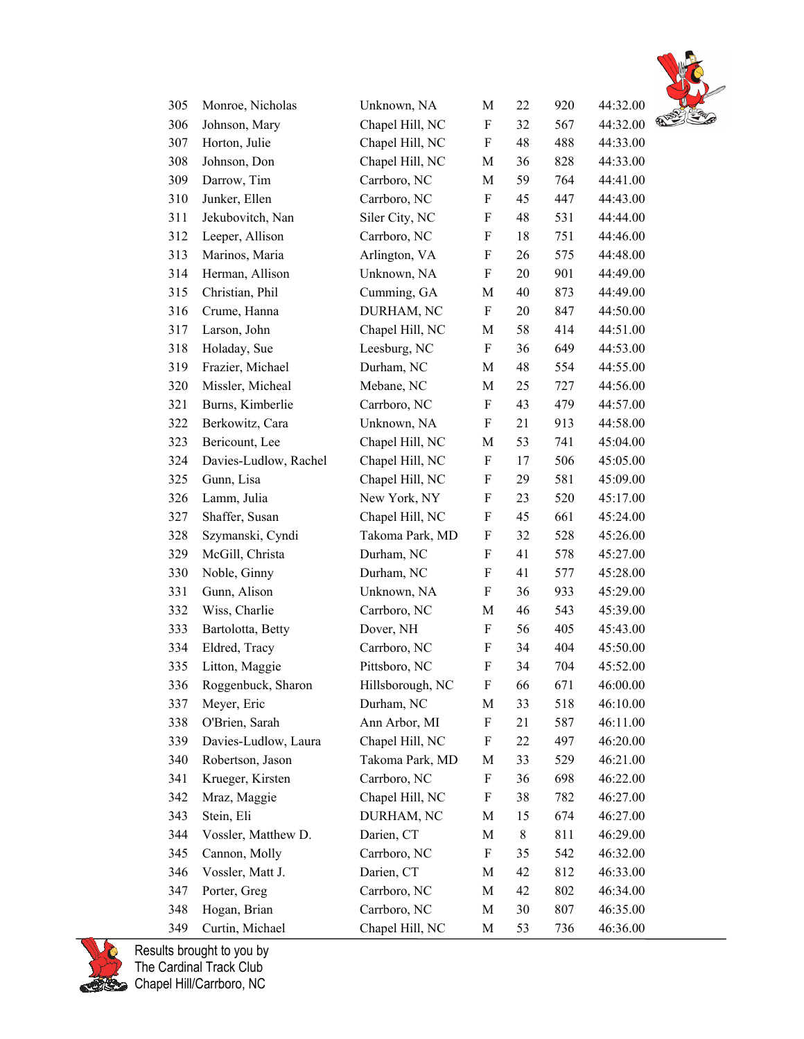

| 305 | Monroe, Nicholas      | Unknown, NA      | M           | 22 | 920 | 44:32.00 |   |
|-----|-----------------------|------------------|-------------|----|-----|----------|---|
| 306 | Johnson, Mary         | Chapel Hill, NC  | F           | 32 | 567 | 44:32.00 | € |
| 307 | Horton, Julie         | Chapel Hill, NC  | F           | 48 | 488 | 44:33.00 |   |
| 308 | Johnson, Don          | Chapel Hill, NC  | M           | 36 | 828 | 44:33.00 |   |
| 309 | Darrow, Tim           | Carrboro, NC     | $\mathbf M$ | 59 | 764 | 44:41.00 |   |
| 310 | Junker, Ellen         | Carrboro, NC     | F           | 45 | 447 | 44:43.00 |   |
| 311 | Jekubovitch, Nan      | Siler City, NC   | F           | 48 | 531 | 44:44.00 |   |
| 312 | Leeper, Allison       | Carrboro, NC     | F           | 18 | 751 | 44:46.00 |   |
| 313 | Marinos, Maria        | Arlington, VA    | F           | 26 | 575 | 44:48.00 |   |
| 314 | Herman, Allison       | Unknown, NA      | F           | 20 | 901 | 44:49.00 |   |
| 315 | Christian, Phil       | Cumming, GA      | М           | 40 | 873 | 44:49.00 |   |
| 316 | Crume, Hanna          | DURHAM, NC       | F           | 20 | 847 | 44:50.00 |   |
| 317 | Larson, John          | Chapel Hill, NC  | M           | 58 | 414 | 44:51.00 |   |
| 318 | Holaday, Sue          | Leesburg, NC     | F           | 36 | 649 | 44:53.00 |   |
| 319 | Frazier, Michael      | Durham, NC       | M           | 48 | 554 | 44:55.00 |   |
| 320 | Missler, Micheal      | Mebane, NC       | M           | 25 | 727 | 44:56.00 |   |
| 321 | Burns, Kimberlie      | Carrboro, NC     | F           | 43 | 479 | 44:57.00 |   |
| 322 | Berkowitz, Cara       | Unknown, NA      | F           | 21 | 913 | 44:58.00 |   |
| 323 | Bericount, Lee        | Chapel Hill, NC  | М           | 53 | 741 | 45:04.00 |   |
| 324 | Davies-Ludlow, Rachel | Chapel Hill, NC  | F           | 17 | 506 | 45:05.00 |   |
| 325 | Gunn, Lisa            | Chapel Hill, NC  | F           | 29 | 581 | 45:09.00 |   |
| 326 | Lamm, Julia           | New York, NY     | F           | 23 | 520 | 45:17.00 |   |
| 327 | Shaffer, Susan        | Chapel Hill, NC  | F           | 45 | 661 | 45:24.00 |   |
| 328 | Szymanski, Cyndi      | Takoma Park, MD  | F           | 32 | 528 | 45:26.00 |   |
| 329 | McGill, Christa       | Durham, NC       | F           | 41 | 578 | 45:27.00 |   |
| 330 | Noble, Ginny          | Durham, NC       | F           | 41 | 577 | 45:28.00 |   |
| 331 | Gunn, Alison          | Unknown, NA      | F           | 36 | 933 | 45:29.00 |   |
| 332 | Wiss, Charlie         | Carrboro, NC     | M           | 46 | 543 | 45:39.00 |   |
| 333 | Bartolotta, Betty     | Dover, NH        | F           | 56 | 405 | 45:43.00 |   |
| 334 | Eldred, Tracy         | Carrboro, NC     | F           | 34 | 404 | 45:50.00 |   |
| 335 | Litton, Maggie        | Pittsboro, NC    | F           | 34 | 704 | 45:52.00 |   |
| 336 | Roggenbuck, Sharon    | Hillsborough, NC | F           | 66 | 671 | 46:00.00 |   |
| 337 | Meyer, Eric           | Durham, NC       | M           | 33 | 518 | 46:10.00 |   |
| 338 | O'Brien, Sarah        | Ann Arbor, MI    | F           | 21 | 587 | 46:11.00 |   |
| 339 | Davies-Ludlow, Laura  | Chapel Hill, NC  | F           | 22 | 497 | 46:20.00 |   |
| 340 | Robertson, Jason      | Takoma Park, MD  | M           | 33 | 529 | 46:21.00 |   |
| 341 | Krueger, Kirsten      | Carrboro, NC     | F           | 36 | 698 | 46:22.00 |   |
| 342 | Mraz, Maggie          | Chapel Hill, NC  | F           | 38 | 782 | 46:27.00 |   |
| 343 | Stein, Eli            | DURHAM, NC       | M           | 15 | 674 | 46:27.00 |   |
| 344 | Vossler, Matthew D.   | Darien, CT       | M           | 8  | 811 | 46:29.00 |   |
| 345 | Cannon, Molly         | Carrboro, NC     | F           | 35 | 542 | 46:32.00 |   |
| 346 | Vossler, Matt J.      | Darien, CT       | M           | 42 | 812 | 46:33.00 |   |
| 347 | Porter, Greg          | Carrboro, NC     | M           | 42 | 802 | 46:34.00 |   |
| 348 | Hogan, Brian          | Carrboro, NC     | M           | 30 | 807 | 46:35.00 |   |
| 349 | Curtin, Michael       | Chapel Hill, NC  | М           | 53 | 736 | 46:36.00 |   |

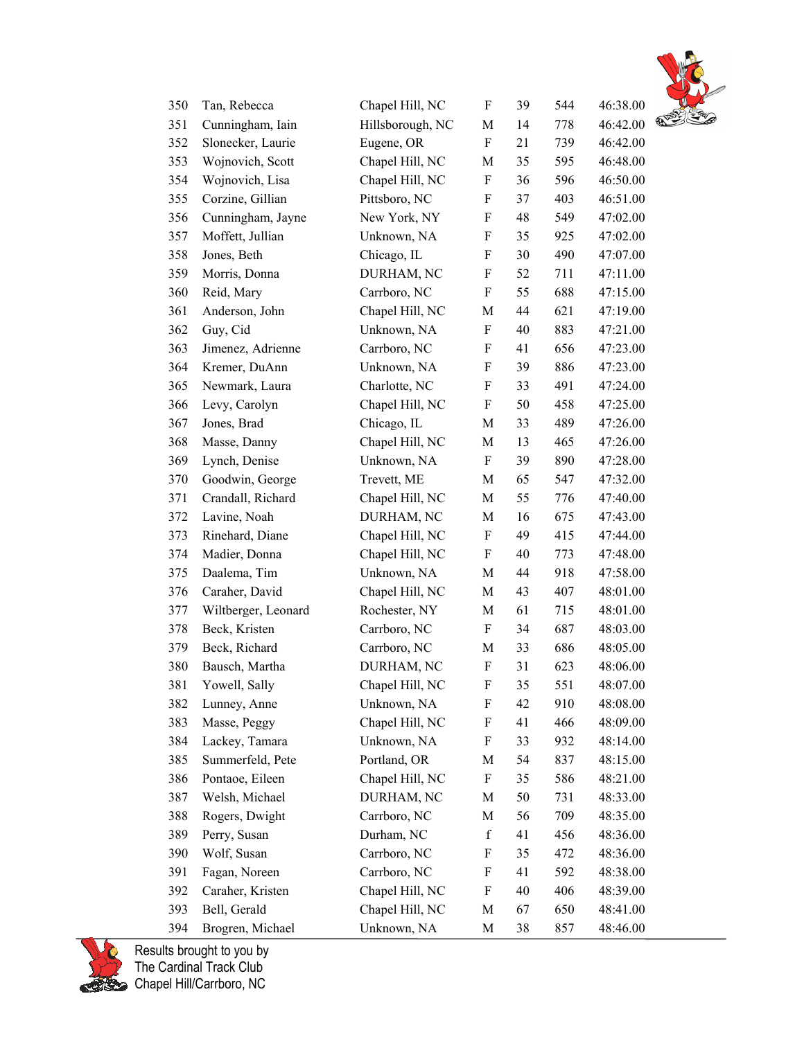

| 350 | Tan, Rebecca        | Chapel Hill, NC  | F                         | 39 | 544 | 46:38.00 |               |
|-----|---------------------|------------------|---------------------------|----|-----|----------|---------------|
| 351 | Cunningham, Iain    | Hillsborough, NC | M                         | 14 | 778 | 46:42.00 | $\mathcal{D}$ |
| 352 | Slonecker, Laurie   | Eugene, OR       | F                         | 21 | 739 | 46:42.00 |               |
| 353 | Wojnovich, Scott    | Chapel Hill, NC  | M                         | 35 | 595 | 46:48.00 |               |
| 354 | Wojnovich, Lisa     | Chapel Hill, NC  | F                         | 36 | 596 | 46:50.00 |               |
| 355 | Corzine, Gillian    | Pittsboro, NC    | F                         | 37 | 403 | 46:51.00 |               |
| 356 | Cunningham, Jayne   | New York, NY     | F                         | 48 | 549 | 47:02.00 |               |
| 357 | Moffett, Jullian    | Unknown, NA      | F                         | 35 | 925 | 47:02.00 |               |
| 358 | Jones, Beth         | Chicago, IL      | F                         | 30 | 490 | 47:07.00 |               |
| 359 | Morris, Donna       | DURHAM, NC       | F                         | 52 | 711 | 47:11.00 |               |
| 360 | Reid, Mary          | Carrboro, NC     | F                         | 55 | 688 | 47:15.00 |               |
| 361 | Anderson, John      | Chapel Hill, NC  | M                         | 44 | 621 | 47:19.00 |               |
| 362 | Guy, Cid            | Unknown, NA      | F                         | 40 | 883 | 47:21.00 |               |
| 363 | Jimenez, Adrienne   | Carrboro, NC     | F                         | 41 | 656 | 47:23.00 |               |
| 364 | Kremer, DuAnn       | Unknown, NA      | F                         | 39 | 886 | 47:23.00 |               |
| 365 | Newmark, Laura      | Charlotte, NC    | F                         | 33 | 491 | 47:24.00 |               |
| 366 | Levy, Carolyn       | Chapel Hill, NC  | F                         | 50 | 458 | 47:25.00 |               |
| 367 | Jones, Brad         | Chicago, IL      | M                         | 33 | 489 | 47:26.00 |               |
| 368 | Masse, Danny        | Chapel Hill, NC  | M                         | 13 | 465 | 47:26.00 |               |
| 369 | Lynch, Denise       | Unknown, NA      | F                         | 39 | 890 | 47:28.00 |               |
| 370 | Goodwin, George     | Trevett, ME      | M                         | 65 | 547 | 47:32.00 |               |
| 371 | Crandall, Richard   | Chapel Hill, NC  | M                         | 55 | 776 | 47:40.00 |               |
| 372 | Lavine, Noah        | DURHAM, NC       | M                         | 16 | 675 | 47:43.00 |               |
| 373 | Rinehard, Diane     | Chapel Hill, NC  | F                         | 49 | 415 | 47:44.00 |               |
| 374 | Madier, Donna       | Chapel Hill, NC  | $\rm F$                   | 40 | 773 | 47:48.00 |               |
| 375 | Daalema, Tim        | Unknown, NA      | M                         | 44 | 918 | 47:58.00 |               |
| 376 | Caraher, David      | Chapel Hill, NC  | M                         | 43 | 407 | 48:01.00 |               |
| 377 | Wiltberger, Leonard | Rochester, NY    | M                         | 61 | 715 | 48:01.00 |               |
| 378 | Beck, Kristen       | Carrboro, NC     | F                         | 34 | 687 | 48:03.00 |               |
| 379 | Beck, Richard       | Carrboro, NC     | M                         | 33 | 686 | 48:05.00 |               |
| 380 | Bausch, Martha      | DURHAM, NC       | $\boldsymbol{\mathrm{F}}$ | 31 | 623 | 48:06.00 |               |
| 381 | Yowell, Sally       | Chapel Hill, NC  | F                         | 35 | 551 | 48:07.00 |               |
| 382 | Lunney, Anne        | Unknown, NA      | F                         | 42 | 910 | 48:08.00 |               |
| 383 | Masse, Peggy        | Chapel Hill, NC  | F                         | 41 | 466 | 48:09.00 |               |
| 384 | Lackey, Tamara      | Unknown, NA      | F                         | 33 | 932 | 48:14.00 |               |
| 385 | Summerfeld, Pete    | Portland, OR     | M                         | 54 | 837 | 48:15.00 |               |
| 386 | Pontaoe, Eileen     | Chapel Hill, NC  | F                         | 35 | 586 | 48:21.00 |               |
| 387 | Welsh, Michael      | DURHAM, NC       | M                         | 50 | 731 | 48:33.00 |               |
| 388 | Rogers, Dwight      | Carrboro, NC     | M                         | 56 | 709 | 48:35.00 |               |
| 389 | Perry, Susan        | Durham, NC       | $\mathbf f$               | 41 | 456 | 48:36.00 |               |
| 390 | Wolf, Susan         | Carrboro, NC     | F                         | 35 | 472 | 48:36.00 |               |
| 391 | Fagan, Noreen       | Carrboro, NC     | F                         | 41 | 592 | 48:38.00 |               |
| 392 | Caraher, Kristen    | Chapel Hill, NC  | F                         | 40 | 406 | 48:39.00 |               |
| 393 | Bell, Gerald        | Chapel Hill, NC  | M                         | 67 | 650 | 48:41.00 |               |
| 394 | Brogren, Michael    | Unknown, NA      | M                         | 38 | 857 | 48:46.00 |               |

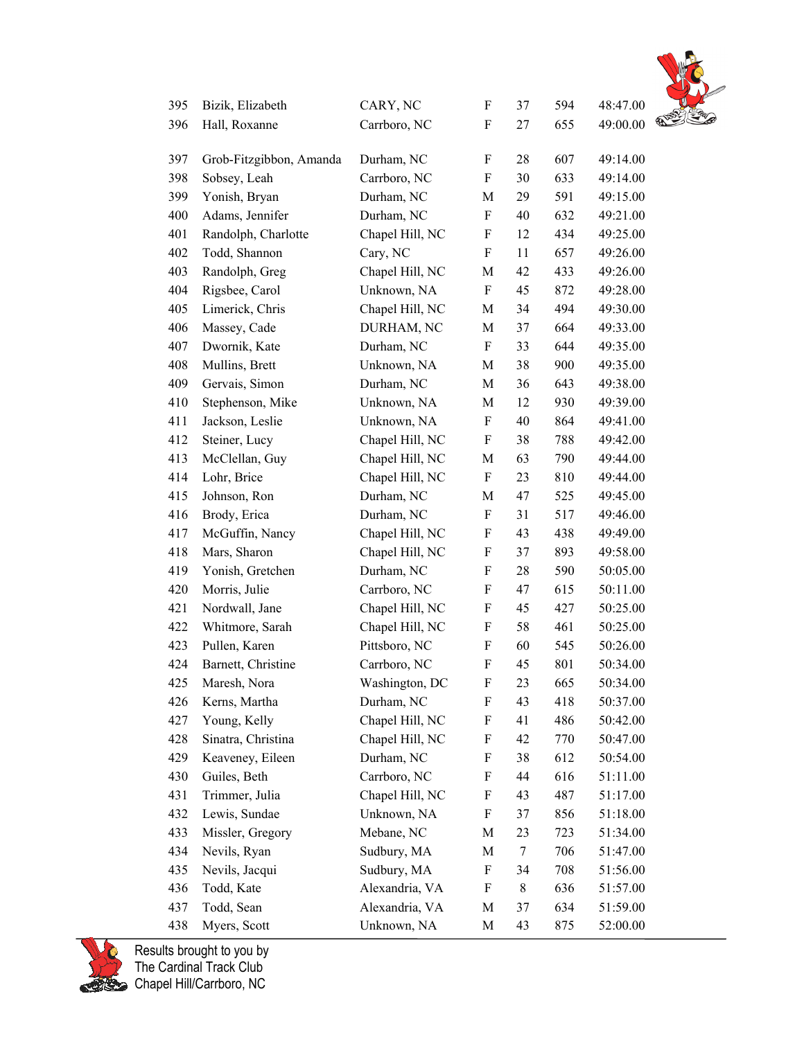

| 395 | Bizik, Elizabeth        | CARY, NC        | F                         | 37        | 594 | 48:47.00                  |
|-----|-------------------------|-----------------|---------------------------|-----------|-----|---------------------------|
| 396 | Hall, Roxanne           | Carrboro, NC    | $\boldsymbol{\mathrm{F}}$ | 27        | 655 | $\mathscr{D}$<br>49:00.00 |
| 397 | Grob-Fitzgibbon, Amanda | Durham, NC      | F                         | 28        | 607 | 49:14.00                  |
| 398 | Sobsey, Leah            | Carrboro, NC    | $\boldsymbol{\mathrm{F}}$ | 30        | 633 | 49:14.00                  |
| 399 | Yonish, Bryan           | Durham, NC      | M                         | 29        | 591 | 49:15.00                  |
| 400 | Adams, Jennifer         | Durham, NC      | F                         | 40        | 632 | 49:21.00                  |
| 401 | Randolph, Charlotte     | Chapel Hill, NC | F                         | 12        | 434 | 49:25.00                  |
| 402 | Todd, Shannon           | Cary, NC        | F                         | 11        | 657 | 49:26.00                  |
| 403 | Randolph, Greg          | Chapel Hill, NC | M                         | 42        | 433 | 49:26.00                  |
| 404 | Rigsbee, Carol          | Unknown, NA     | $\boldsymbol{\mathrm{F}}$ | 45        | 872 | 49:28.00                  |
| 405 | Limerick, Chris         | Chapel Hill, NC | M                         | 34        | 494 | 49:30.00                  |
| 406 | Massey, Cade            | DURHAM, NC      | M                         | 37        | 664 | 49:33.00                  |
| 407 | Dwornik, Kate           | Durham, NC      | $\boldsymbol{\mathrm{F}}$ | 33        | 644 | 49:35.00                  |
| 408 | Mullins, Brett          | Unknown, NA     | M                         | 38        | 900 | 49:35.00                  |
| 409 | Gervais, Simon          | Durham, NC      | M                         | 36        | 643 | 49:38.00                  |
| 410 | Stephenson, Mike        | Unknown, NA     | M                         | 12        | 930 | 49:39.00                  |
| 411 | Jackson, Leslie         | Unknown, NA     | $\boldsymbol{\mathrm{F}}$ | 40        | 864 | 49:41.00                  |
| 412 | Steiner, Lucy           | Chapel Hill, NC | $\boldsymbol{\mathrm{F}}$ | 38        | 788 | 49:42.00                  |
| 413 | McClellan, Guy          | Chapel Hill, NC | M                         | 63        | 790 | 49:44.00                  |
| 414 | Lohr, Brice             | Chapel Hill, NC | $\boldsymbol{\mathrm{F}}$ | 23        | 810 | 49:44.00                  |
| 415 | Johnson, Ron            | Durham, NC      | M                         | 47        | 525 | 49:45.00                  |
| 416 | Brody, Erica            | Durham, NC      | F                         | 31        | 517 | 49:46.00                  |
| 417 | McGuffin, Nancy         | Chapel Hill, NC | F                         | 43        | 438 | 49:49.00                  |
| 418 | Mars, Sharon            | Chapel Hill, NC | F                         | 37        | 893 | 49:58.00                  |
| 419 | Yonish, Gretchen        | Durham, NC      | F                         | 28        | 590 | 50:05.00                  |
| 420 | Morris, Julie           | Carrboro, NC    | F                         | 47        | 615 | 50:11.00                  |
| 421 | Nordwall, Jane          | Chapel Hill, NC | F                         | 45        | 427 | 50:25.00                  |
| 422 | Whitmore, Sarah         | Chapel Hill, NC | F                         | 58        | 461 | 50:25.00                  |
| 423 | Pullen, Karen           | Pittsboro, NC   | F                         | 60        | 545 | 50:26.00                  |
| 424 | Barnett, Christine      | Carrboro, NC    | $\boldsymbol{\mathrm{F}}$ | 45        | 801 | 50:34.00                  |
| 425 | Maresh, Nora            | Washington, DC  | F                         | 23        | 665 | 50:34.00                  |
| 426 | Kerns, Martha           | Durham, NC      | F                         | 43        | 418 | 50:37.00                  |
| 427 | Young, Kelly            | Chapel Hill, NC | F                         | 41        | 486 | 50:42.00                  |
| 428 | Sinatra, Christina      | Chapel Hill, NC | F                         | 42        | 770 | 50:47.00                  |
| 429 | Keaveney, Eileen        | Durham, NC      | F                         | 38        | 612 | 50:54.00                  |
| 430 | Guiles, Beth            | Carrboro, NC    | F                         | 44        | 616 | 51:11.00                  |
| 431 | Trimmer, Julia          | Chapel Hill, NC | F                         | 43        | 487 | 51:17.00                  |
| 432 | Lewis, Sundae           | Unknown, NA     | F                         | 37        | 856 | 51:18.00                  |
| 433 | Missler, Gregory        | Mebane, NC      | M                         | 23        | 723 | 51:34.00                  |
| 434 | Nevils, Ryan            | Sudbury, MA     | M                         | 7         | 706 | 51:47.00                  |
| 435 | Nevils, Jacqui          | Sudbury, MA     | F                         | 34        | 708 | 51:56.00                  |
| 436 | Todd, Kate              | Alexandria, VA  | F                         | $\,$ $\,$ | 636 | 51:57.00                  |
| 437 | Todd, Sean              | Alexandria, VA  | M                         | 37        | 634 | 51:59.00                  |
| 438 | Myers, Scott            | Unknown, NA     | M                         | 43        | 875 | 52:00.00                  |

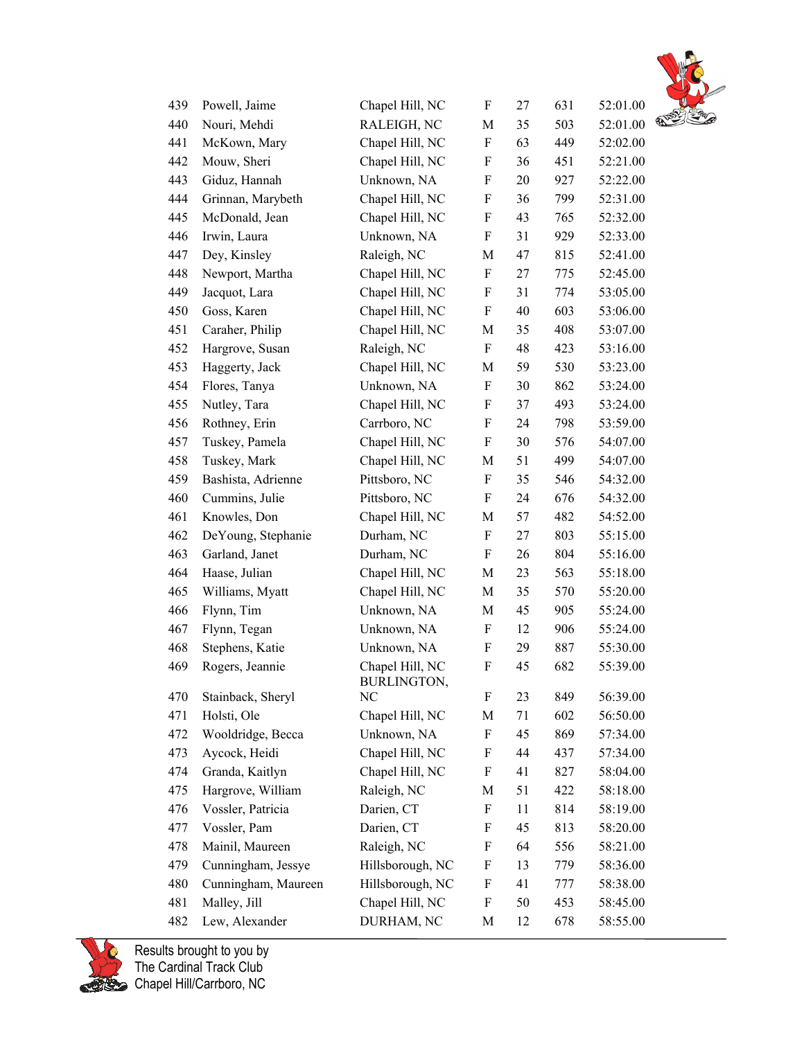

| 439 | Powell, Jaime       | Chapel Hill, NC                | F                         | 27 | 631 | 52:01.00 |   |
|-----|---------------------|--------------------------------|---------------------------|----|-----|----------|---|
| 440 | Nouri, Mehdi        | RALEIGH, NC                    | M                         | 35 | 503 | 52:01.00 | € |
| 441 | McKown, Mary        | Chapel Hill, NC                | F                         | 63 | 449 | 52:02.00 |   |
| 442 | Mouw, Sheri         | Chapel Hill, NC                | $\boldsymbol{\mathrm{F}}$ | 36 | 451 | 52:21.00 |   |
| 443 | Giduz, Hannah       | Unknown, NA                    | F                         | 20 | 927 | 52:22.00 |   |
| 444 | Grinnan, Marybeth   | Chapel Hill, NC                | F                         | 36 | 799 | 52:31.00 |   |
| 445 | McDonald, Jean      | Chapel Hill, NC                | F                         | 43 | 765 | 52:32.00 |   |
| 446 | Irwin, Laura        | Unknown, NA                    | F                         | 31 | 929 | 52:33.00 |   |
| 447 | Dey, Kinsley        | Raleigh, NC                    | $\mathbf M$               | 47 | 815 | 52:41.00 |   |
| 448 | Newport, Martha     | Chapel Hill, NC                | F                         | 27 | 775 | 52:45.00 |   |
| 449 | Jacquot, Lara       | Chapel Hill, NC                | F                         | 31 | 774 | 53:05.00 |   |
| 450 | Goss, Karen         | Chapel Hill, NC                | F                         | 40 | 603 | 53:06.00 |   |
| 451 | Caraher, Philip     | Chapel Hill, NC                | M                         | 35 | 408 | 53:07.00 |   |
| 452 | Hargrove, Susan     | Raleigh, NC                    | F                         | 48 | 423 | 53:16.00 |   |
| 453 | Haggerty, Jack      | Chapel Hill, NC                | M                         | 59 | 530 | 53:23.00 |   |
| 454 | Flores, Tanya       | Unknown, NA                    | F                         | 30 | 862 | 53:24.00 |   |
| 455 | Nutley, Tara        | Chapel Hill, NC                | $\boldsymbol{\mathrm{F}}$ | 37 | 493 | 53:24.00 |   |
| 456 | Rothney, Erin       | Carrboro, NC                   | F                         | 24 | 798 | 53:59.00 |   |
| 457 | Tuskey, Pamela      | Chapel Hill, NC                | F                         | 30 | 576 | 54:07.00 |   |
| 458 | Tuskey, Mark        | Chapel Hill, NC                | M                         | 51 | 499 | 54:07.00 |   |
| 459 | Bashista, Adrienne  | Pittsboro, NC                  | F                         | 35 | 546 | 54:32.00 |   |
| 460 | Cummins, Julie      | Pittsboro, NC                  | F                         | 24 | 676 | 54:32.00 |   |
| 461 | Knowles, Don        | Chapel Hill, NC                | M                         | 57 | 482 | 54:52.00 |   |
| 462 | DeYoung, Stephanie  | Durham, NC                     | F                         | 27 | 803 | 55:15.00 |   |
| 463 | Garland, Janet      | Durham, NC                     | F                         | 26 | 804 | 55:16.00 |   |
| 464 | Haase, Julian       | Chapel Hill, NC                | M                         | 23 | 563 | 55:18.00 |   |
| 465 | Williams, Myatt     | Chapel Hill, NC                | M                         | 35 | 570 | 55:20.00 |   |
| 466 | Flynn, Tim          | Unknown, NA                    | M                         | 45 | 905 | 55:24.00 |   |
| 467 | Flynn, Tegan        | Unknown, NA                    | F                         | 12 | 906 | 55:24.00 |   |
| 468 | Stephens, Katie     | Unknown, NA                    | F                         | 29 | 887 | 55:30.00 |   |
| 469 | Rogers, Jeannie     | Chapel Hill, NC<br>BURLINGTON, | F                         | 45 | 682 | 55:39.00 |   |
| 470 | Stainback, Sheryl   | NC                             | F                         | 23 | 849 | 56:39.00 |   |
| 471 | Holsti, Ole         | Chapel Hill, NC                | M                         | 71 | 602 | 56:50.00 |   |
| 472 | Wooldridge, Becca   | Unknown, NA                    | F                         | 45 | 869 | 57:34.00 |   |
| 473 | Aycock, Heidi       | Chapel Hill, NC                | F                         | 44 | 437 | 57:34.00 |   |
| 474 | Granda, Kaitlyn     | Chapel Hill, NC                | F                         | 41 | 827 | 58:04.00 |   |
| 475 | Hargrove, William   | Raleigh, NC                    | M                         | 51 | 422 | 58:18.00 |   |
| 476 | Vossler, Patricia   | Darien, CT                     | F                         | 11 | 814 | 58:19.00 |   |
| 477 | Vossler, Pam        | Darien, CT                     | F                         | 45 | 813 | 58:20.00 |   |
| 478 | Mainil, Maureen     | Raleigh, NC                    | F                         | 64 | 556 | 58:21.00 |   |
| 479 | Cunningham, Jessye  | Hillsborough, NC               | F                         | 13 | 779 | 58:36.00 |   |
| 480 | Cunningham, Maureen | Hillsborough, NC               | F                         | 41 | 777 | 58:38.00 |   |
| 481 | Malley, Jill        | Chapel Hill, NC                | F                         | 50 | 453 | 58:45.00 |   |
| 482 | Lew, Alexander      | DURHAM, NC                     | M                         | 12 | 678 | 58:55.00 |   |
|     |                     |                                |                           |    |     |          |   |